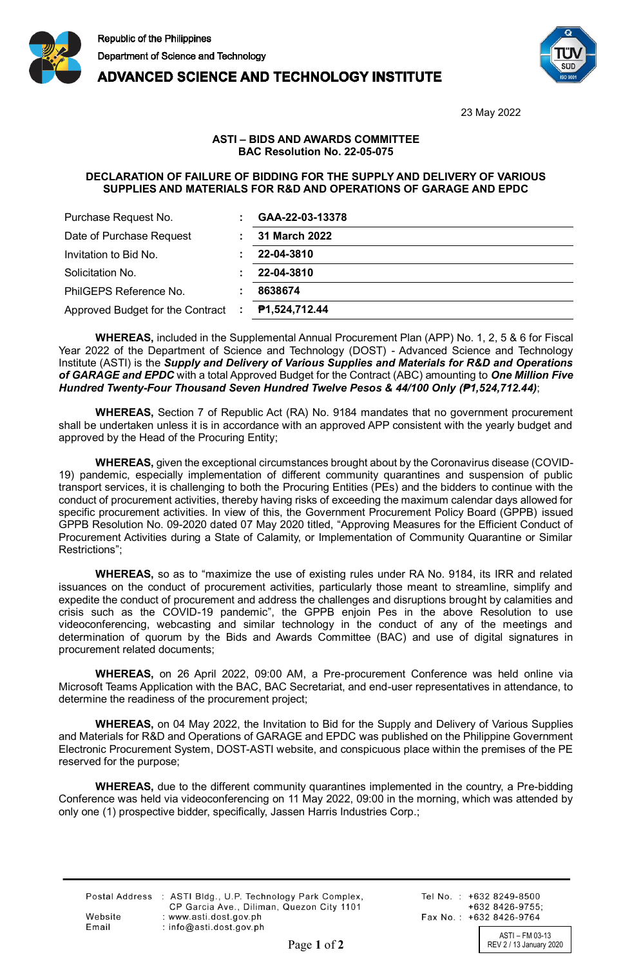

## **ADVANCED SCIENCE AND TECHNOLOGY INSTITUTE**



23 May 2022

## **ASTI – BIDS AND AWARDS COMMITTEE BAC Resolution No. 22-05-075**

## **DECLARATION OF FAILURE OF BIDDING FOR THE SUPPLY AND DELIVERY OF VARIOUS SUPPLIES AND MATERIALS FOR R&D AND OPERATIONS OF GARAGE AND EPDC**

| Purchase Request No.               | GAA-22-03-13378      |
|------------------------------------|----------------------|
| Date of Purchase Request           | <b>31 March 2022</b> |
| Invitation to Bid No.              | 22-04-3810           |
| Solicitation No.                   | 22-04-3810           |
| PhilGEPS Reference No.             | 8638674              |
| Approved Budget for the Contract : | P1,524,712.44        |

**WHEREAS,** included in the Supplemental Annual Procurement Plan (APP) No. 1, 2, 5 & 6 for Fiscal Year 2022 of the Department of Science and Technology (DOST) - Advanced Science and Technology Institute (ASTI) is the *Supply and Delivery of Various Supplies and Materials for R&D and Operations of GARAGE and EPDC* with a total Approved Budget for the Contract (ABC) amounting to *One Million Five Hundred Twenty-Four Thousand Seven Hundred Twelve Pesos & 44/100 Only (₱1,524,712.44)*;

**WHEREAS,** Section 7 of Republic Act (RA) No. 9184 mandates that no government procurement shall be undertaken unless it is in accordance with an approved APP consistent with the yearly budget and approved by the Head of the Procuring Entity;

**WHEREAS,** given the exceptional circumstances brought about by the Coronavirus disease (COVID-19) pandemic, especially implementation of different community quarantines and suspension of public transport services, it is challenging to both the Procuring Entities (PEs) and the bidders to continue with the conduct of procurement activities, thereby having risks of exceeding the maximum calendar days allowed for specific procurement activities. In view of this, the Government Procurement Policy Board (GPPB) issued GPPB Resolution No. 09-2020 dated 07 May 2020 titled, "Approving Measures for the Efficient Conduct of Procurement Activities during a State of Calamity, or Implementation of Community Quarantine or Similar Restrictions";

**WHEREAS,** so as to "maximize the use of existing rules under RA No. 9184, its IRR and related issuances on the conduct of procurement activities, particularly those meant to streamline, simplify and expedite the conduct of procurement and address the challenges and disruptions brought by calamities and crisis such as the COVID-19 pandemic", the GPPB enjoin Pes in the above Resolution to use videoconferencing, webcasting and similar technology in the conduct of any of the meetings and determination of quorum by the Bids and Awards Committee (BAC) and use of digital signatures in procurement related documents;

**WHEREAS,** on 26 April 2022, 09:00 AM, a Pre-procurement Conference was held online via Microsoft Teams Application with the BAC, BAC Secretariat, and end-user representatives in attendance, to determine the readiness of the procurement project;

**WHEREAS,** on 04 May 2022, the Invitation to Bid for the Supply and Delivery of Various Supplies and Materials for R&D and Operations of GARAGE and EPDC was published on the Philippine Government Electronic Procurement System, DOST-ASTI website, and conspicuous place within the premises of the PE reserved for the purpose;

**WHEREAS,** due to the different community quarantines implemented in the country, a Pre-bidding Conference was held via videoconferencing on 11 May 2022, 09:00 in the morning, which was attended by only one (1) prospective bidder, specifically, Jassen Harris Industries Corp.;